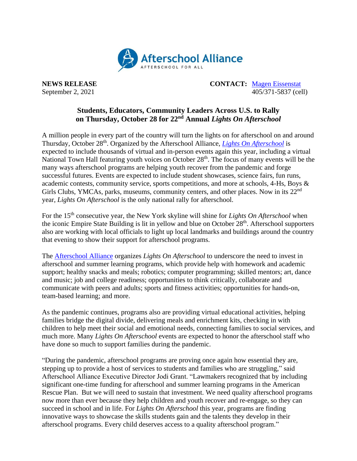

**NEWS RELEASE CONTACT:** [Magen Eissenstat](mailto:magen@prsolutionsdc.com) September 2, 2021 405/371-5837 (cell)

## **Students, Educators, Community Leaders Across U.S. to Rally on Thursday, October 28 for 22nd Annual** *Lights On Afterschool*

A million people in every part of the country will turn the lights on for afterschool on and around Thursday, October 28<sup>th</sup>. Organized by the Afterschool Alliance, *[Lights On Afterschool](http://www.afterschoolalliance.org/loa.cfm)* is expected to include thousands of virtual and in-person events again this year, including a virtual National Town Hall featuring youth voices on October 28<sup>th</sup>. The focus of many events will be the many ways afterschool programs are helping youth recover from the pandemic and forge successful futures. Events are expected to include student showcases, science fairs, fun runs, academic contests, community service, sports competitions, and more at schools, 4-Hs, Boys & Girls Clubs, YMCAs, parks, museums, community centers, and other places. Now in its 22<sup>nd</sup> year, *Lights On Afterschool* is the only national rally for afterschool.

For the 15<sup>th</sup> consecutive year, the New York skyline will shine for *Lights On Afterschool* when the iconic Empire State Building is lit in yellow and blue on October 28<sup>th</sup>. Afterschool supporters also are working with local officials to light up local landmarks and buildings around the country that evening to show their support for afterschool programs.

The [Afterschool Alliance](http://www.afterschoolalliance.org/) organizes *Lights On Afterschool* to underscore the need to invest in afterschool and summer learning programs, which provide help with homework and academic support; healthy snacks and meals; robotics; computer programming; skilled mentors; art, dance and music; job and college readiness; opportunities to think critically, collaborate and communicate with peers and adults; sports and fitness activities; opportunities for hands-on, team-based learning; and more.

As the pandemic continues, programs also are providing virtual educational activities, helping families bridge the digital divide, delivering meals and enrichment kits, checking in with children to help meet their social and emotional needs, connecting families to social services, and much more. Many *Lights On Afterschool* events are expected to honor the afterschool staff who have done so much to support families during the pandemic.

"During the pandemic, afterschool programs are proving once again how essential they are, stepping up to provide a host of services to students and families who are struggling," said Afterschool Alliance Executive Director Jodi Grant. "Lawmakers recognized that by including significant one-time funding for afterschool and summer learning programs in the American Rescue Plan. But we will need to sustain that investment. We need quality afterschool programs now more than ever because they help children and youth recover and re-engage, so they can succeed in school and in life. For *Lights On Afterschool* this year, programs are finding innovative ways to showcase the skills students gain and the talents they develop in their afterschool programs. Every child deserves access to a quality afterschool program."